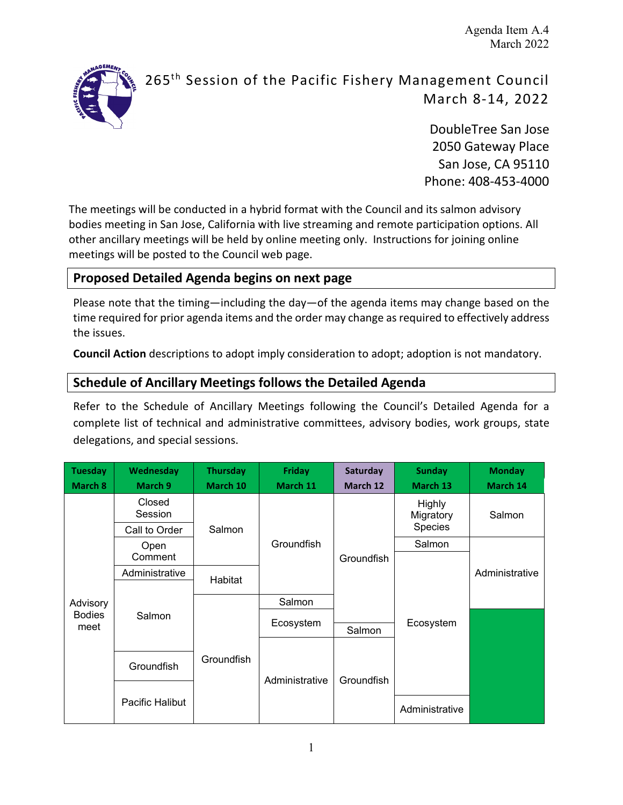Agenda Item A.4 March 2022



# 265<sup>th</sup> Session of the Pacific Fishery Management Council March 8-14, 2022

DoubleTree San Jose 2050 Gateway Place San Jose, CA 95110 Phone: 408-453-4000

The meetings will be conducted in a hybrid format with the Council and its salmon advisory bodies meeting in San Jose, California with live streaming and remote participation options. All other ancillary meetings will be held by online meeting only. Instructions for joining online meetings will be posted to the Council web page.

### **Proposed Detailed Agenda begins on next page**

Please note that the timing—including the day—of the agenda items may change based on the time required for prior agenda items and the order may change as required to effectively address the issues.

**Council Action** descriptions to adopt imply consideration to adopt; adoption is not mandatory.

#### **Schedule of Ancillary Meetings follows the Detailed Agenda**

Refer to the Schedule of Ancillary Meetings following the Council's Detailed Agenda for a complete list of technical and administrative committees, advisory bodies, work groups, state delegations, and special sessions.

| <b>Tuesday</b><br>March 8 | <b>Wednesday</b><br>March 9 | <b>Thursday</b><br>March 10 | <b>Friday</b><br>March 11 | Saturday<br>March 12 | <b>Sunday</b><br>March 13 | <b>Monday</b><br>March 14 |
|---------------------------|-----------------------------|-----------------------------|---------------------------|----------------------|---------------------------|---------------------------|
|                           | Closed<br>Session           |                             |                           |                      | Highly<br>Migratory       | Salmon                    |
|                           | Call to Order               | Salmon                      |                           |                      | Species                   |                           |
|                           | Open                        |                             | Groundfish                | Groundfish           | Salmon                    |                           |
|                           | Comment                     |                             |                           |                      |                           |                           |
|                           | Administrative              | Habitat                     |                           |                      |                           | Administrative            |
|                           |                             |                             |                           |                      |                           |                           |
| Advisory                  | Salmon                      |                             | Salmon                    |                      |                           |                           |
| <b>Bodies</b>             |                             |                             | Ecosystem                 | Ecosystem            |                           |                           |
| meet                      |                             |                             |                           | Salmon               |                           |                           |
|                           | Groundfish<br>Groundfish    |                             |                           |                      |                           |                           |
|                           |                             |                             | Groundfish                |                      |                           |                           |
|                           |                             |                             | Administrative            |                      |                           |                           |
|                           | Pacific Halibut             |                             |                           |                      | Administrative            |                           |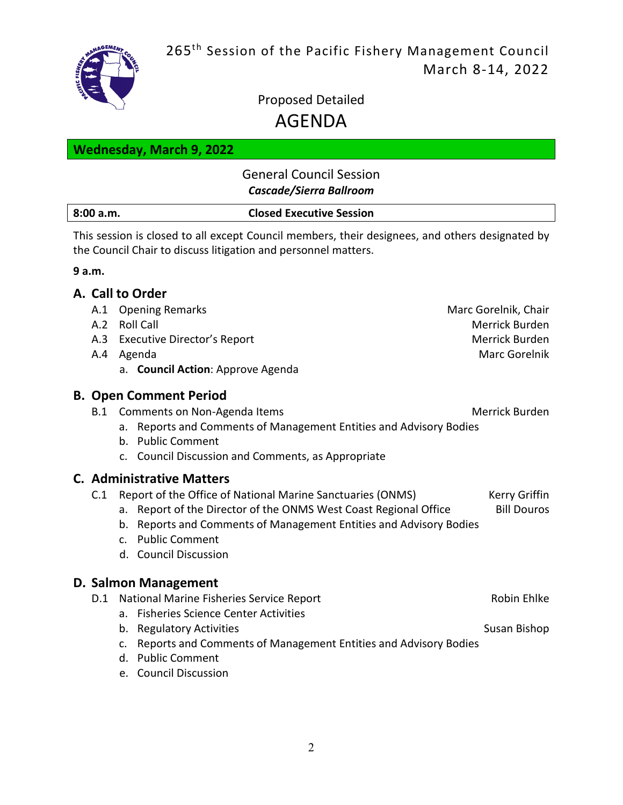

# Proposed Detailed AGENDA

### **Wednesday, March 9, 2022**

### General Council Session *Cascade/Sierra Ballroom*

#### **8:00 a.m. Closed Executive Session**

This session is closed to all except Council members, their designees, and others designated by the Council Chair to discuss litigation and personnel matters.

#### **9 a.m.**

#### **A. Call to Order**

| A.1 | <b>Opening Remarks</b>                                                                                                                                                                                                                                                                 | Marc Gorelnik, Chair                |
|-----|----------------------------------------------------------------------------------------------------------------------------------------------------------------------------------------------------------------------------------------------------------------------------------------|-------------------------------------|
| A.2 | <b>Roll Call</b>                                                                                                                                                                                                                                                                       | Merrick Burden                      |
|     | A.3 Executive Director's Report                                                                                                                                                                                                                                                        | Merrick Burden                      |
|     | A.4 Agenda                                                                                                                                                                                                                                                                             | Marc Gorelnik                       |
|     | a. Council Action: Approve Agenda                                                                                                                                                                                                                                                      |                                     |
|     | <b>B. Open Comment Period</b>                                                                                                                                                                                                                                                          |                                     |
| B.1 | Comments on Non-Agenda Items                                                                                                                                                                                                                                                           | Merrick Burden                      |
|     | a. Reports and Comments of Management Entities and Advisory Bodies<br>b. Public Comment                                                                                                                                                                                                |                                     |
|     | c. Council Discussion and Comments, as Appropriate                                                                                                                                                                                                                                     |                                     |
| C.1 | <b>C. Administrative Matters</b><br>Report of the Office of National Marine Sanctuaries (ONMS)<br>a. Report of the Director of the ONMS West Coast Regional Office<br>b. Reports and Comments of Management Entities and Advisory Bodies<br>c. Public Comment<br>d. Council Discussion | Kerry Griffin<br><b>Bill Douros</b> |
|     | D. Salmon Management                                                                                                                                                                                                                                                                   |                                     |
| D.1 | National Marine Fisheries Service Report                                                                                                                                                                                                                                               | Robin Ehlke                         |
|     | a. Fisheries Science Center Activities                                                                                                                                                                                                                                                 |                                     |
|     | b. Regulatory Activities                                                                                                                                                                                                                                                               | Susan Bishop                        |
|     | Reports and Comments of Management Entities and Advisory Bodies<br>$\mathsf{C}$ .                                                                                                                                                                                                      |                                     |
|     | d. Public Comment                                                                                                                                                                                                                                                                      |                                     |
|     | e. Council Discussion                                                                                                                                                                                                                                                                  |                                     |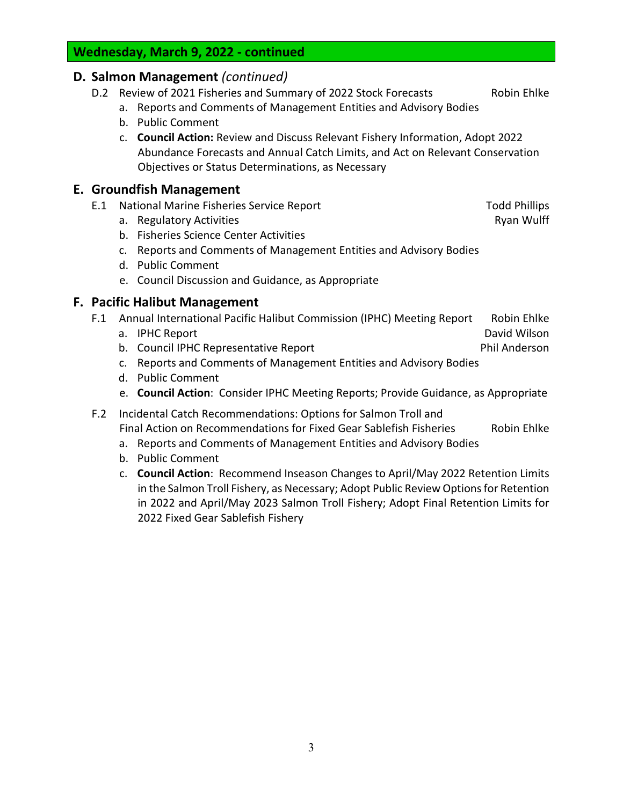#### **Wednesday, March 9, 2022 - continued**

#### **D. Salmon Management** *(continued)*

- D.2 Review of 2021 Fisheries and Summary of 2022 Stock Forecasts Robin Ehlke
	- a. Reports and Comments of Management Entities and Advisory Bodies
	- b. Public Comment
	- c. **Council Action:** Review and Discuss Relevant Fishery Information, Adopt 2022 Abundance Forecasts and Annual Catch Limits, and Act on Relevant Conservation Objectives or Status Determinations, as Necessary

#### **E. Groundfish Management**

- E.1 National Marine Fisheries Service Report Theorem 2012 Todd Phillips
	- a. Regulatory Activities **Ryan Wulff** and the Ryan Wulff and the Ryan Wulff and the Ryan Wulff and the Ryan Wulff
	- b. Fisheries Science Center Activities
	- c. Reports and Comments of Management Entities and Advisory Bodies
	- d. Public Comment
	- e. Council Discussion and Guidance, as Appropriate

#### **F. Pacific Halibut Management**

- F.1 Annual International Pacific Halibut Commission (IPHC) Meeting Report Robin Ehlke
	- a. IPHC Report **David Wilson David Wilson**
	- b. Council IPHC Representative Report **Phil Anderson**
	- c. Reports and Comments of Management Entities and Advisory Bodies
	- d. Public Comment
	- e. **Council Action**: Consider IPHC Meeting Reports; Provide Guidance, as Appropriate
- F.2 Incidental Catch Recommendations: Options for Salmon Troll and Final Action on Recommendations for Fixed Gear Sablefish Fisheries Robin Ehlke
	- a. Reports and Comments of Management Entities and Advisory Bodies
	- b. Public Comment
	- c. **Council Action**: Recommend Inseason Changes to April/May 2022 Retention Limits in the Salmon Troll Fishery, as Necessary; Adopt Public Review Options for Retention in 2022 and April/May 2023 Salmon Troll Fishery; Adopt Final Retention Limits for 2022 Fixed Gear Sablefish Fishery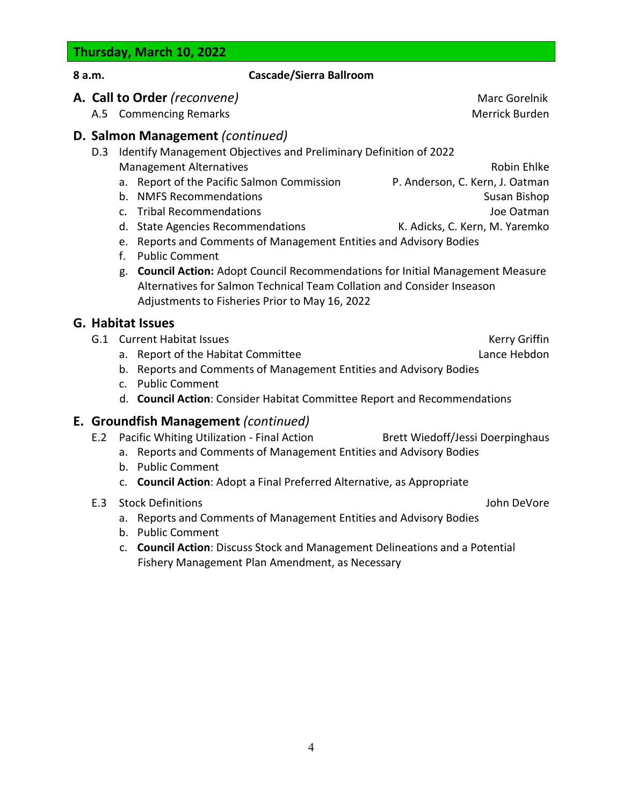## **Thursday, March 10, 2022**

**G. Habitat Issues**

| 8 a.m. |     | <b>Cascade/Sierra Ballroom</b>                                                                                                                                                                                                                                                                                                                                                                                                                                                                                                                                                                                             |                                                                                                                |
|--------|-----|----------------------------------------------------------------------------------------------------------------------------------------------------------------------------------------------------------------------------------------------------------------------------------------------------------------------------------------------------------------------------------------------------------------------------------------------------------------------------------------------------------------------------------------------------------------------------------------------------------------------------|----------------------------------------------------------------------------------------------------------------|
|        |     | A. Call to Order (reconvene)<br>A.5 Commencing Remarks                                                                                                                                                                                                                                                                                                                                                                                                                                                                                                                                                                     | Marc Gorelnik<br>Merrick Burden                                                                                |
|        | D.3 | D. Salmon Management (continued)<br>Identify Management Objectives and Preliminary Definition of 2022<br><b>Management Alternatives</b><br>a. Report of the Pacific Salmon Commission<br>b. NMFS Recommendations<br>c. Tribal Recommendations<br>d. State Agencies Recommendations<br>e. Reports and Comments of Management Entities and Advisory Bodies<br>$f_{\rm{r}}$<br><b>Public Comment</b><br><b>Council Action: Adopt Council Recommendations for Initial Management Measure</b><br>g.<br>Alternatives for Salmon Technical Team Collation and Consider Inseason<br>Adjustments to Fisheries Prior to May 16, 2022 | Robin Ehlke<br>P. Anderson, C. Kern, J. Oatman<br>Susan Bishop<br>Joe Oatman<br>K. Adicks, C. Kern, M. Yaremko |
|        |     | <b>G. Habitat Issues</b><br>G.1 Current Habitat Issues<br>a. Report of the Habitat Committee<br>b. Reports and Comments of Management Entities and Advisory Bodies<br><b>Public Comment</b><br>C <sub>1</sub><br>d. Council Action: Consider Habitat Committee Report and Recommendations                                                                                                                                                                                                                                                                                                                                  | Kerry Griffin<br>Lance Hebdon                                                                                  |
|        | E.2 | E. Groundfish Management (continued)<br>Pacific Whiting Utilization - Final Action<br>a. Reports and Comments of Management Entities and Advisory Bodies<br>b. Public Comment<br>c. Council Action: Adopt a Final Preferred Alternative, as Appropriate                                                                                                                                                                                                                                                                                                                                                                    | Brett Wiedoff/Jessi Doerpinghaus                                                                               |
|        | E.3 | <b>Stock Definitions</b>                                                                                                                                                                                                                                                                                                                                                                                                                                                                                                                                                                                                   | John DeVore                                                                                                    |

- a. Reports and Comments of Management Entities and Advisory Bodies
- b. Public Comment
- c. **Council Action**: Discuss Stock and Management Delineations and a Potential Fishery Management Plan Amendment, as Necessary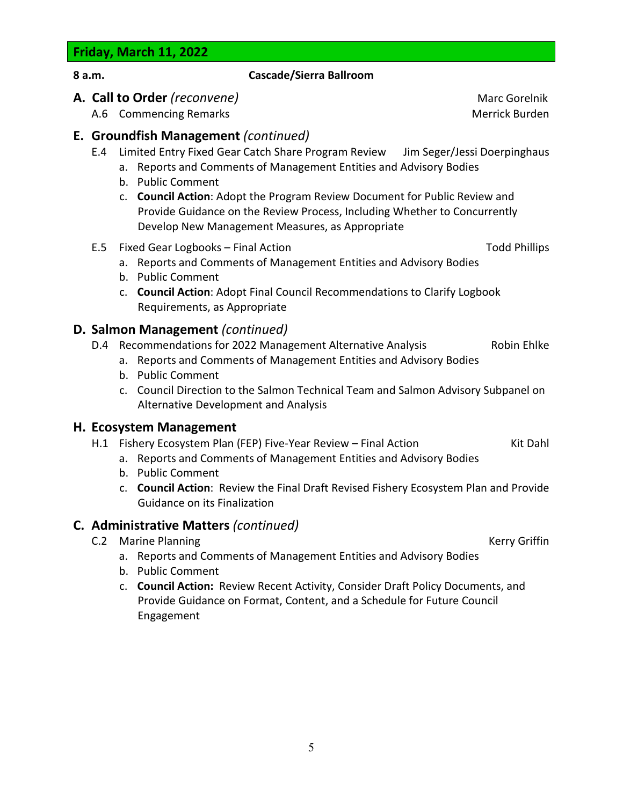**Friday, March 11, 2022**

| ×<br>۰.<br>. . |  |
|----------------|--|
|----------------|--|

#### **8 a.m. Cascade/Sierra Ballroom**

#### **A. Call to Order** *(reconvene)* Marc Gorelnik

A.6 Commencing Remarks **Merrick Burden** Merrick Burden

#### **E. Groundfish Management** *(continued)*

- E.4 Limited Entry Fixed Gear Catch Share Program Review Jim Seger/Jessi Doerpinghaus
	- a. Reports and Comments of Management Entities and Advisory Bodies
	- b. Public Comment
	- c. **Council Action**: Adopt the Program Review Document for Public Review and Provide Guidance on the Review Process, Including Whether to Concurrently Develop New Management Measures, as Appropriate
- E.5 Fixed Gear Logbooks Final Action The Contract Contract Contract Contract Contract Contract Contract Contract Contract Contract Contract Contract Contract Contract Contract Contract Contract Contract Contract Contract

- a. Reports and Comments of Management Entities and Advisory Bodies
- b. Public Comment
- c. **Council Action**: Adopt Final Council Recommendations to Clarify Logbook Requirements, as Appropriate

#### **D. Salmon Management** *(continued)*

- D.4 Recommendations for 2022 Management Alternative Analysis Robin Ehlke
	- a. Reports and Comments of Management Entities and Advisory Bodies
		- b. Public Comment
		- c. Council Direction to the Salmon Technical Team and Salmon Advisory Subpanel on Alternative Development and Analysis

#### **H. Ecosystem Management**

- H.1 Fishery Ecosystem Plan (FEP) Five-Year Review Final Action Kit Dahl
	- a. Reports and Comments of Management Entities and Advisory Bodies
	- b. Public Comment
	- c. **Council Action**: Review the Final Draft Revised Fishery Ecosystem Plan and Provide Guidance on its Finalization

#### **C. Administrative Matters** *(continued)*

C.2 Marine Planning **Kerry Griffin** 

- a. Reports and Comments of Management Entities and Advisory Bodies
- b. Public Comment
- c. **Council Action:** Review Recent Activity, Consider Draft Policy Documents, and Provide Guidance on Format, Content, and a Schedule for Future Council Engagement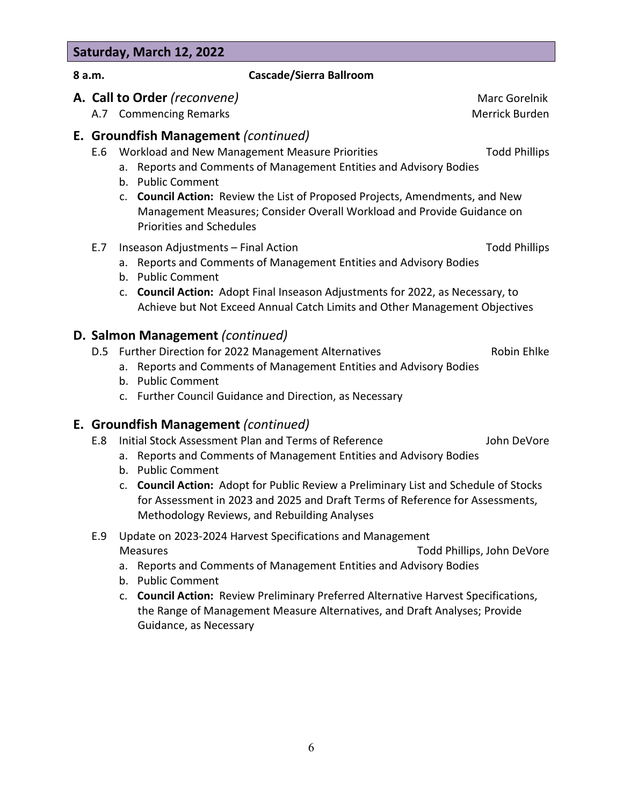# **Saturday, March 12, 2022**

#### **8 a.m. Cascade/Sierra Ballroom**

#### **A. Call to Order** *(reconvene)* Marc Gorelnik

A.7 Commencing Remarks Merrick Burden and The Merrick Burden

#### **E. Groundfish Management** *(continued)*

- E.6 Workload and New Management Measure Priorities Translation Todd Phillips
	- a. Reports and Comments of Management Entities and Advisory Bodies
	- b. Public Comment
	- c. **Council Action:** Review the List of Proposed Projects, Amendments, and New Management Measures; Consider Overall Workload and Provide Guidance on Priorities and Schedules

#### E.7 Inseason Adjustments – Final Action Theorem 2012 School and Todd Phillips

- 
- a. Reports and Comments of Management Entities and Advisory Bodies
- b. Public Comment
- c. **Council Action:** Adopt Final Inseason Adjustments for 2022, as Necessary, to Achieve but Not Exceed Annual Catch Limits and Other Management Objectives

#### **D. Salmon Management** *(continued)*

D.5 Further Direction for 2022 Management Alternatives **Example 2018** Robin Ehlke

- a. Reports and Comments of Management Entities and Advisory Bodies
- b. Public Comment
- c. Further Council Guidance and Direction, as Necessary

#### **E. Groundfish Management** *(continued)*

- E.8 Initial Stock Assessment Plan and Terms of Reference John DeVore
	- a. Reports and Comments of Management Entities and Advisory Bodies
	- b. Public Comment
	- c. **Council Action:** Adopt for Public Review a Preliminary List and Schedule of Stocks for Assessment in 2023 and 2025 and Draft Terms of Reference for Assessments, Methodology Reviews, and Rebuilding Analyses
- E.9 Update on 2023-2024 Harvest Specifications and Management Measures Todd Phillips, John DeVore
	- a. Reports and Comments of Management Entities and Advisory Bodies
	- b. Public Comment
	- c. **Council Action:** Review Preliminary Preferred Alternative Harvest Specifications, the Range of Management Measure Alternatives, and Draft Analyses; Provide Guidance, as Necessary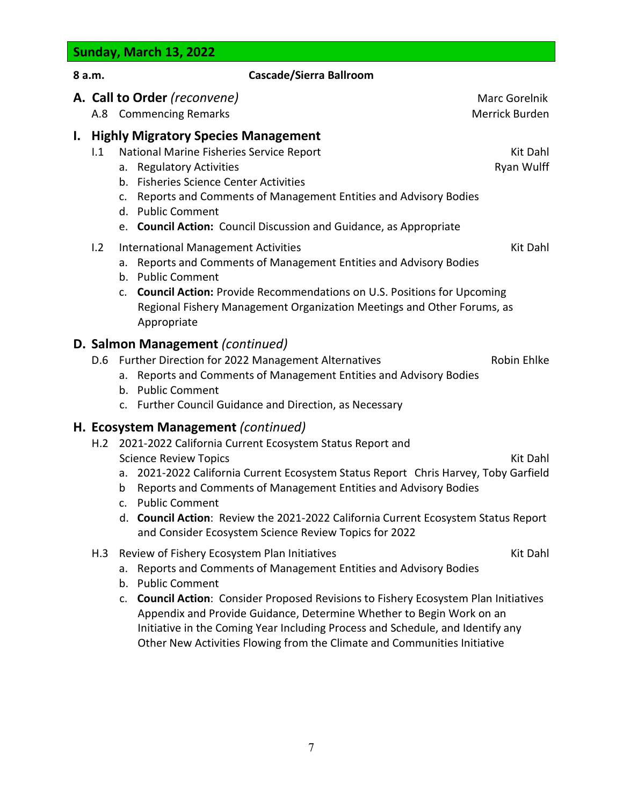**8 a.m. Cascade/Sierra Ballroom A. Call to Order** *(reconvene)* Marc Gorelnik A.8 Commencing Remarks Merrick Burden and The Merrick Burden **I. Highly Migratory Species Management** I.1 National Marine Fisheries Service Report National Assembly Rit Dahl a. Regulatory Activities **Ryan Wulff** b. Fisheries Science Center Activities c. Reports and Comments of Management Entities and Advisory Bodies d. Public Comment e. **Council Action:** Council Discussion and Guidance, as Appropriate I.2 International Management Activities Kit Dahl Namagement Activities Kit Dahl Namagement Activities a. Reports and Comments of Management Entities and Advisory Bodies b. Public Comment c. **Council Action:** Provide Recommendations on U.S. Positions for Upcoming Regional Fishery Management Organization Meetings and Other Forums, as Appropriate **D. Salmon Management** *(continued)* D.6 Further Direction for 2022 Management Alternatives **Research Analytic Robin Ehlke** a. Reports and Comments of Management Entities and Advisory Bodies b. Public Comment c. Further Council Guidance and Direction, as Necessary

#### **H. Ecosystem Management** *(continued)*

- H.2 2021-2022 California Current Ecosystem Status Report and Science Review Topics National Contract Contract Contract Contract Contract Contract Contract Contract Contract Contract Contract Contract Contract Contract Contract Contract Contract Contract Contract Contract Contract Co
	- a. 2021-2022 California Current Ecosystem Status Report Chris Harvey, Toby Garfield
	- b Reports and Comments of Management Entities and Advisory Bodies
	- c. Public Comment
	- d. **Council Action**: Review the 2021-2022 California Current Ecosystem Status Report and Consider Ecosystem Science Review Topics for 2022
- H.3 Review of Fishery Ecosystem Plan Initiatives Kit Dahl Kit Dahl
	- a. Reports and Comments of Management Entities and Advisory Bodies
	- b. Public Comment
	- c. **Council Action**: Consider Proposed Revisions to Fishery Ecosystem Plan Initiatives Appendix and Provide Guidance, Determine Whether to Begin Work on an Initiative in the Coming Year Including Process and Schedule, and Identify any Other New Activities Flowing from the Climate and Communities Initiative

**Sunday, March 13, 2022**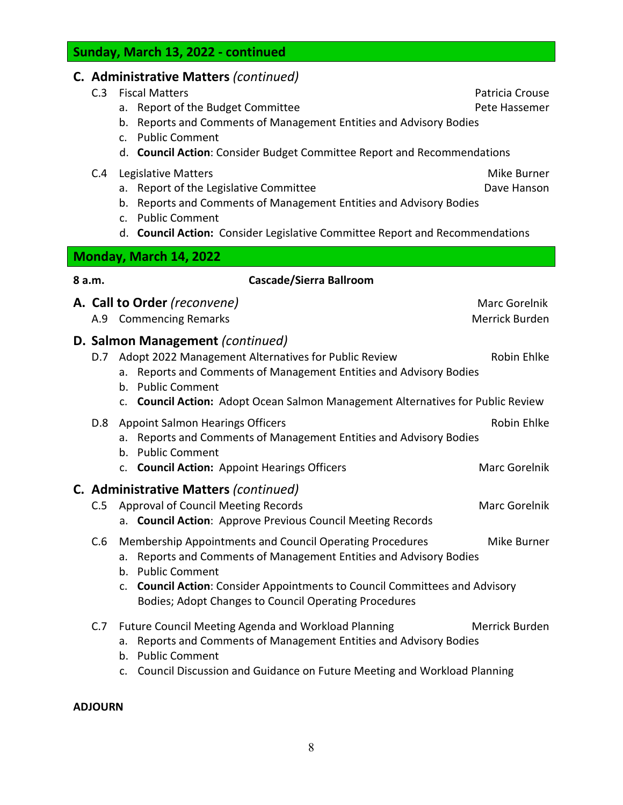8

d. **Council Action:** Consider Legislative Committee Report and Recommendations **Monday, March 14, 2022**

#### **8 a.m. Cascade/Sierra Ballroom**

b. Reports and Comments of Management Entities and Advisory Bodies

d. **Council Action**: Consider Budget Committee Report and Recommendations

- **A. Call to Order** *(reconvene)* Marc Gorelnik
	-

#### A.9 Commencing Remarks **Merrick Burden** Merrick Burden

#### **D. Salmon Management** *(continued)*

|     | <b>D.</b> Jannon management (commedy)                                                                                                                                                                                                                                                       |                              |
|-----|---------------------------------------------------------------------------------------------------------------------------------------------------------------------------------------------------------------------------------------------------------------------------------------------|------------------------------|
| D.7 | Adopt 2022 Management Alternatives for Public Review<br>a. Reports and Comments of Management Entities and Advisory Bodies<br>b. Public Comment<br>c. Council Action: Adopt Ocean Salmon Management Alternatives for Public Review                                                          | Robin Ehlke                  |
| D.8 | <b>Appoint Salmon Hearings Officers</b><br>a. Reports and Comments of Management Entities and Advisory Bodies<br>b. Public Comment<br>c. Council Action: Appoint Hearings Officers                                                                                                          | Robin Ehlke<br>Marc Gorelnik |
| C.5 | C. Administrative Matters (continued)<br><b>Approval of Council Meeting Records</b><br>a. Council Action: Approve Previous Council Meeting Records                                                                                                                                          | Marc Gorelnik                |
| C.6 | Membership Appointments and Council Operating Procedures<br>a. Reports and Comments of Management Entities and Advisory Bodies<br>b. Public Comment<br>c. Council Action: Consider Appointments to Council Committees and Advisory<br>Bodies; Adopt Changes to Council Operating Procedures | Mike Burner                  |
| C.7 | Future Council Meeting Agenda and Workload Planning<br>a. Reports and Comments of Management Entities and Advisory Bodies                                                                                                                                                                   | Merrick Burden               |

- b. Public Comment
- c. Council Discussion and Guidance on Future Meeting and Workload Planning

#### **ADJOURN**

C.4 Legislative Matters **Mike Burner** C.4 Legislative Matters

a. Report of the Legislative Committee **Dave Hanson** Dave Hanson

b. Reports and Comments of Management Entities and Advisory Bodies

# **Sunday, March 13, 2022 - continued**

c. Public Comment

c. Public Comment

**C. Administrative Matters** *(continued)*

C.3 Fiscal Matters **Patricia Crouse** Patricia Crouse Patricia Crouse

a. Report of the Budget Committee **Pete Hassemer** Pete Hassemer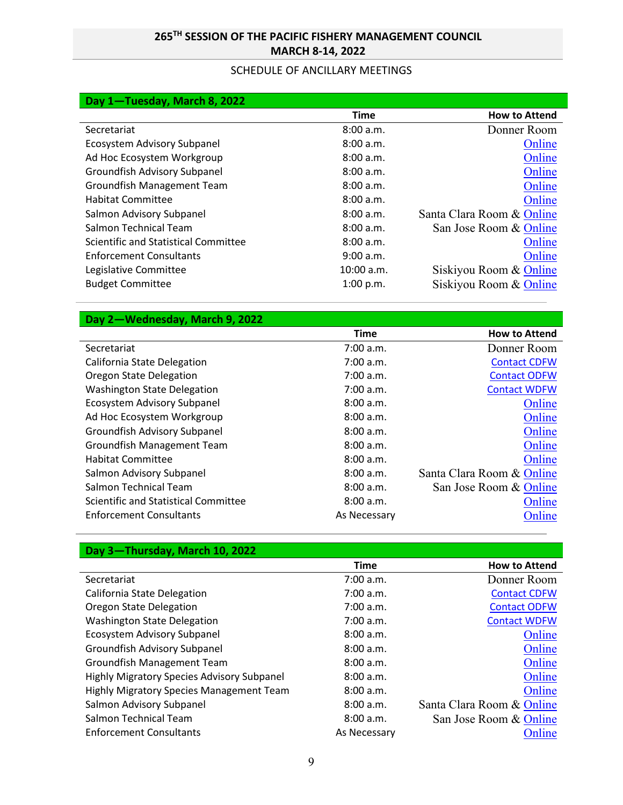### **265TH SESSION OF THE PACIFIC FISHERY MANAGEMENT COUNCIL MARCH 8-14, 2022**

#### SCHEDULE OF ANCILLARY MEETINGS

| Day 1-Tuesday, March 8, 2022         |            |                           |
|--------------------------------------|------------|---------------------------|
|                                      | Time       | <b>How to Attend</b>      |
| Secretariat                          | 8:00 a.m.  | Donner Room               |
| Ecosystem Advisory Subpanel          | 8:00 a.m.  | Online                    |
| Ad Hoc Ecosystem Workgroup           | 8:00 a.m.  | Online                    |
| Groundfish Advisory Subpanel         | 8:00a.m.   | Online                    |
| Groundfish Management Team           | 8:00a.m.   | Online                    |
| <b>Habitat Committee</b>             | 8:00 a.m.  | Online                    |
| Salmon Advisory Subpanel             | 8:00a.m.   | Santa Clara Room & Online |
| Salmon Technical Team                | 8:00 a.m.  | San Jose Room & Online    |
| Scientific and Statistical Committee | 8:00 a.m.  | Online                    |
| <b>Enforcement Consultants</b>       | 9:00 a.m.  | Online                    |
| Legislative Committee                | 10:00 a.m. | Siskiyou Room & Online    |
| <b>Budget Committee</b>              | 1:00 p.m.  | Siskiyou Room & Online    |

#### **Day 2—Wednesday, March 9, 2022**

|                                      | <b>Time</b>  | <b>How to Attend</b>      |
|--------------------------------------|--------------|---------------------------|
| Secretariat                          | 7:00 a.m.    | Donner Room               |
| California State Delegation          | 7:00 a.m.    | <b>Contact CDFW</b>       |
| <b>Oregon State Delegation</b>       | 7:00 a.m.    | <b>Contact ODFW</b>       |
| <b>Washington State Delegation</b>   | 7:00 a.m.    | <b>Contact WDFW</b>       |
| Ecosystem Advisory Subpanel          | 8:00 a.m.    | Online                    |
| Ad Hoc Ecosystem Workgroup           | 8:00 a.m.    | Online                    |
| Groundfish Advisory Subpanel         | 8:00a.m.     | Online                    |
| Groundfish Management Team           | 8:00 a.m.    | Online                    |
| <b>Habitat Committee</b>             | 8:00 a.m.    | Online                    |
| Salmon Advisory Subpanel             | 8:00 a.m.    | Santa Clara Room & Online |
| Salmon Technical Team                | 8:00 a.m.    | San Jose Room & Online    |
| Scientific and Statistical Committee | 8:00 a.m.    | Online                    |
| <b>Enforcement Consultants</b>       | As Necessary | Online                    |

## **Day 3—Thursday, March 10, 2022**

|                                            | <b>Time</b>  | <b>How to Attend</b>      |
|--------------------------------------------|--------------|---------------------------|
| Secretariat                                | 7:00 a.m.    | Donner Room               |
| California State Delegation                | 7:00 a.m.    | <b>Contact CDFW</b>       |
| <b>Oregon State Delegation</b>             | 7:00 a.m.    | <b>Contact ODFW</b>       |
| <b>Washington State Delegation</b>         | 7:00 a.m.    | <b>Contact WDFW</b>       |
| Ecosystem Advisory Subpanel                | 8:00 a.m.    | Online                    |
| Groundfish Advisory Subpanel               | 8:00 a.m.    | Online                    |
| Groundfish Management Team                 | 8:00 a.m.    | Online                    |
| Highly Migratory Species Advisory Subpanel | 8:00 a.m.    | Online                    |
| Highly Migratory Species Management Team   | 8:00 a.m.    | Online                    |
| Salmon Advisory Subpanel                   | 8:00 a.m.    | Santa Clara Room & Online |
| Salmon Technical Team                      | 8:00 a.m.    | San Jose Room & Online    |
| <b>Enforcement Consultants</b>             | As Necessary | Online                    |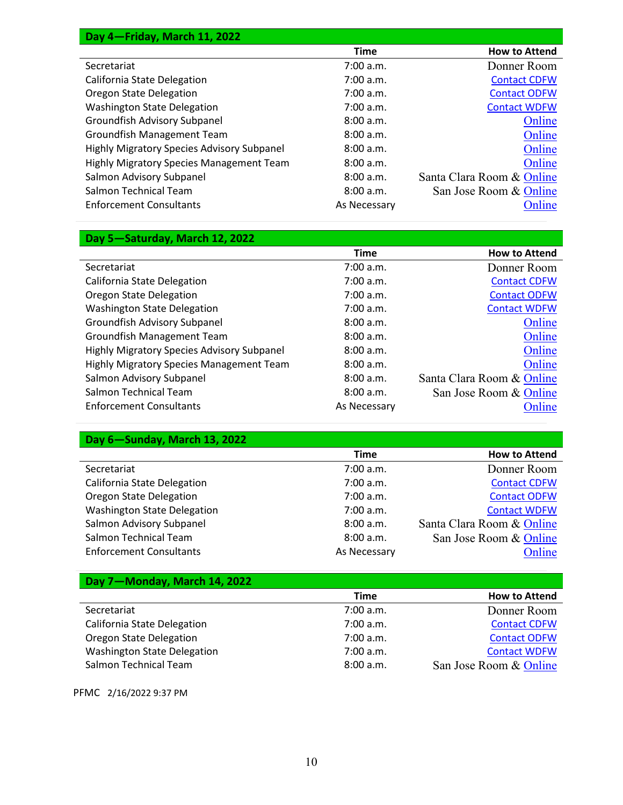| Day 4-Friday, March 11, 2022               |              |                           |
|--------------------------------------------|--------------|---------------------------|
|                                            | <b>Time</b>  | <b>How to Attend</b>      |
| Secretariat                                | 7:00 a.m.    | Donner Room               |
| California State Delegation                | 7:00 a.m.    | <b>Contact CDFW</b>       |
| Oregon State Delegation                    | 7:00 a.m.    | <b>Contact ODFW</b>       |
| <b>Washington State Delegation</b>         | 7:00 a.m.    | <b>Contact WDFW</b>       |
| Groundfish Advisory Subpanel               | 8:00 a.m.    | Online                    |
| Groundfish Management Team                 | 8:00 a.m.    | Online                    |
| Highly Migratory Species Advisory Subpanel | 8:00 a.m.    | Online                    |
| Highly Migratory Species Management Team   | 8:00a.m.     | Online                    |
| Salmon Advisory Subpanel                   | 8:00 a.m.    | Santa Clara Room & Online |
| Salmon Technical Team                      | 8:00 a.m.    | San Jose Room & Online    |
| <b>Enforcement Consultants</b>             | As Necessary | Online                    |

### **Day 5—Saturday, March 12, 2022**

|                                                   | <b>Time</b>  | <b>How to Attend</b>      |
|---------------------------------------------------|--------------|---------------------------|
| Secretariat                                       | 7:00 a.m.    | Donner Room               |
| California State Delegation                       | 7:00 a.m.    | <b>Contact CDFW</b>       |
| <b>Oregon State Delegation</b>                    | 7:00 a.m.    | <b>Contact ODFW</b>       |
| <b>Washington State Delegation</b>                | 7:00 a.m.    | <b>Contact WDFW</b>       |
| Groundfish Advisory Subpanel                      | 8:00 a.m.    | Online                    |
| Groundfish Management Team                        | 8:00a.m.     | Online                    |
| <b>Highly Migratory Species Advisory Subpanel</b> | 8:00 a.m.    | Online                    |
| Highly Migratory Species Management Team          | 8:00 a.m.    | Online                    |
| Salmon Advisory Subpanel                          | 8:00 a.m.    | Santa Clara Room & Online |
| Salmon Technical Team                             | 8:00 a.m.    | San Jose Room & Online    |
| <b>Enforcement Consultants</b>                    | As Necessary | Online                    |

### **Day 6—Sunday, March 13, 2022**

|                                    | Time         | <b>How to Attend</b>      |
|------------------------------------|--------------|---------------------------|
| Secretariat                        | 7:00 a.m.    | Donner Room               |
| California State Delegation        | 7:00 a.m.    | <b>Contact CDFW</b>       |
| Oregon State Delegation            | 7:00 a.m.    | <b>Contact ODFW</b>       |
| <b>Washington State Delegation</b> | 7:00 a.m.    | <b>Contact WDFW</b>       |
| Salmon Advisory Subpanel           | 8:00 a.m.    | Santa Clara Room & Online |
| Salmon Technical Team              | 8:00 a.m.    | San Jose Room & Online    |
| <b>Enforcement Consultants</b>     | As Necessary | Online                    |

#### **Day 7—Monday, March 14, 2022**

|                                    | <b>Time</b> | <b>How to Attend</b>   |
|------------------------------------|-------------|------------------------|
| Secretariat                        | 7:00 a.m.   | Donner Room            |
| California State Delegation        | 7:00 a.m.   | <b>Contact CDFW</b>    |
| Oregon State Delegation            | 7:00 a.m.   | <b>Contact ODFW</b>    |
| <b>Washington State Delegation</b> | 7:00 a.m.   | <b>Contact WDFW</b>    |
| Salmon Technical Team              | 8:00a.m.    | San Jose Room & Online |

PFMC 2/16/2022 9:37 PM